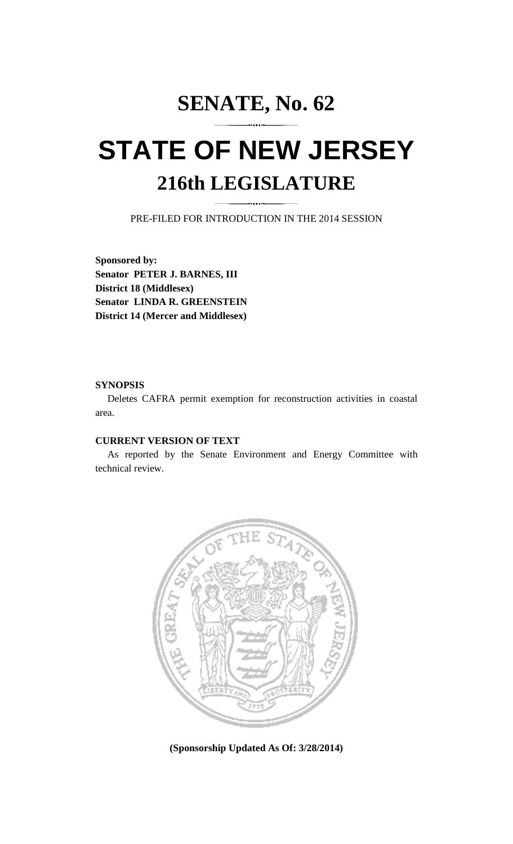## **SENATE, No. 62**

# **STATE OF NEW JERSEY 216th LEGISLATURE**

PRE-FILED FOR INTRODUCTION IN THE 2014 SESSION

**Sponsored by: Senator PETER J. BARNES, III District 18 (Middlesex) Senator LINDA R. GREENSTEIN District 14 (Mercer and Middlesex)** 

#### **SYNOPSIS**

 Deletes CAFRA permit exemption for reconstruction activities in coastal area.

### **CURRENT VERSION OF TEXT**

 As reported by the Senate Environment and Energy Committee with technical review.



**(Sponsorship Updated As Of: 3/28/2014)**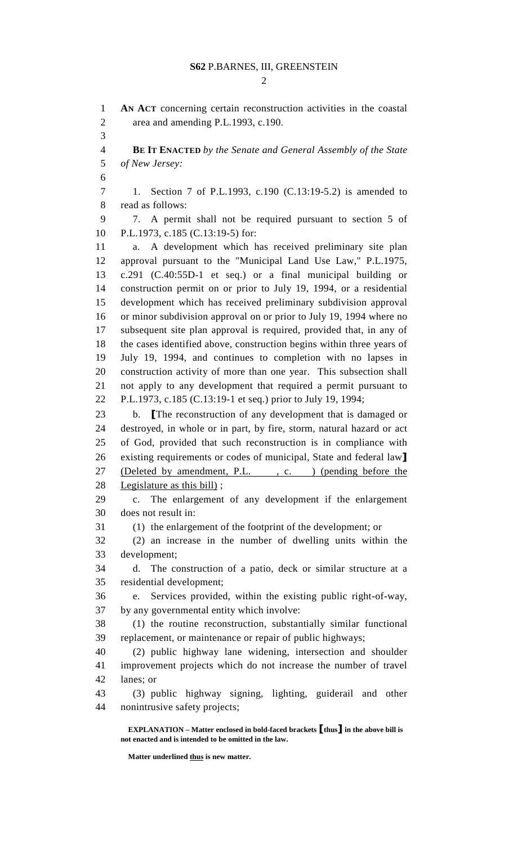$\mathcal{D}_{\mathcal{L}}$ 

 **EXPLANATION – Matter enclosed in bold-faced brackets** [**thus**] **in the above bill is not enacted and is intended to be omitted in the law.**  1 **AN ACT** concerning certain reconstruction activities in the coastal 2 area and amending P.L.1993, c.190. 3 4 **BE IT ENACTED** *by the Senate and General Assembly of the State*  5 *of New Jersey:* 6 7 1. Section 7 of P.L.1993, c.190 (C.13:19-5.2) is amended to 8 read as follows: 9 7. A permit shall not be required pursuant to section 5 of 10 P.L.1973, c.185 (C.13:19-5) for: 11 a. A development which has received preliminary site plan 12 approval pursuant to the "Municipal Land Use Law," P.L.1975, 13 c.291 (C.40:55D-1 et seq.) or a final municipal building or 14 construction permit on or prior to July 19, 1994, or a residential 15 development which has received preliminary subdivision approval 16 or minor subdivision approval on or prior to July 19, 1994 where no 17 subsequent site plan approval is required, provided that, in any of 18 the cases identified above, construction begins within three years of 19 July 19, 1994, and continues to completion with no lapses in 20 construction activity of more than one year. This subsection shall 21 not apply to any development that required a permit pursuant to 22 P.L.1973, c.185 (C.13:19-1 et seq.) prior to July 19, 1994; 23 b. [The reconstruction of any development that is damaged or 24 destroyed, in whole or in part, by fire, storm, natural hazard or act 25 of God, provided that such reconstruction is in compliance with 26 existing requirements or codes of municipal, State and federal law] 27 (Deleted by amendment, P.L., c. ) (pending before the 28 Legislature as this bill) ; 29 c. The enlargement of any development if the enlargement 30 does not result in: 31 (1) the enlargement of the footprint of the development; or 32 (2) an increase in the number of dwelling units within the 33 development; 34 d. The construction of a patio, deck or similar structure at a 35 residential development; 36 e. Services provided, within the existing public right-of-way, 37 by any governmental entity which involve: 38 (1) the routine reconstruction, substantially similar functional 39 replacement, or maintenance or repair of public highways; 40 (2) public highway lane widening, intersection and shoulder 41 improvement projects which do not increase the number of travel 42 lanes; or 43 (3) public highway signing, lighting, guiderail and other 44 nonintrusive safety projects;

**Matter underlined thus is new matter.**